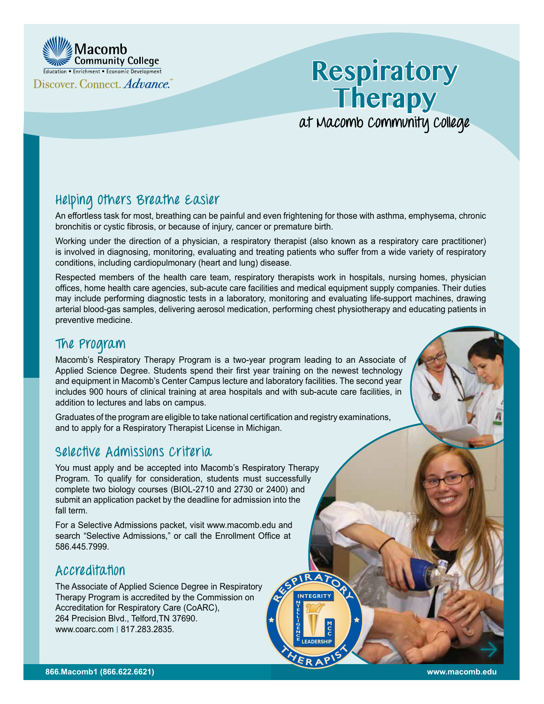

# **Respiratory Therapy**

**at Macomb Community College**

## **Helping Others Breathe Easier**

An effortless task for most, breathing can be painful and even frightening for those with asthma, emphysema, chronic bronchitis or cystic fibrosis, or because of injury, cancer or premature birth.

Working under the direction of a physician, a respiratory therapist (also known as a respiratory care practitioner) is involved in diagnosing, monitoring, evaluating and treating patients who suffer from a wide variety of respiratory conditions, including cardiopulmonary (heart and lung) disease.

Respected members of the health care team, respiratory therapists work in hospitals, nursing homes, physician offices, home health care agencies, sub-acute care facilities and medical equipment supply companies. Their duties may include performing diagnostic tests in a laboratory, monitoring and evaluating life-support machines, drawing arterial blood-gas samples, delivering aerosol medication, performing chest physiotherapy and educating patients in preventive medicine.

THER APIST

**LEADERSHIP** 

RATOR **INTEGRITY** 

**NTELLIGENCE**

#### **The Program**

Macomb's Respiratory Therapy Program is a two-year program leading to an Associate of Applied Science Degree. Students spend their first year training on the newest technology and equipment in Macomb's Center Campus lecture and laboratory facilities. The second year includes 900 hours of clinical training at area hospitals and with sub-acute care facilities, in addition to lectures and labs on campus.

Graduates of the program are eligible to take national certification and registry examinations, and to apply for a Respiratory Therapist License in Michigan.

## **Selective Admissions Criteria**

You must apply and be accepted into Macomb's Respiratory Therapy Program. To qualify for consideration, students must successfully complete two biology courses (BIOL-2710 and 2730 or 2400) and submit an application packet by the deadline for admission into the fall term.

For a Selective Admissions packet, visit [www.macomb.edu](http://www.macomb.edu) and search "Selective Admissions," or call the Enrollment Office at 586.445.7999.

## **Accreditation**

The Associate of Applied Science Degree in Respiratory Therapy Program is accredited by the Commission on Accreditation for Respiratory Care (CoARC), 264 Precision Blvd., Telford,TN 37690. www.coarc.com | 817.283.2835.